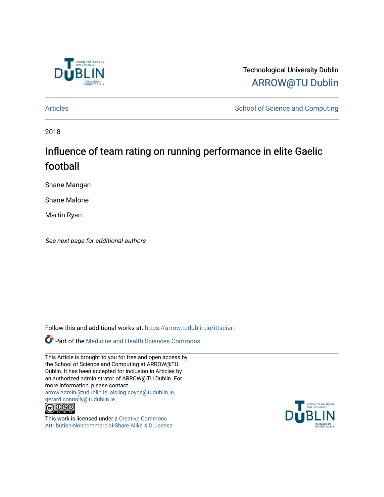

Technological University Dublin [ARROW@TU Dublin](https://arrow.tudublin.ie/) 

[Articles](https://arrow.tudublin.ie/ittsciart) **School of Science and Computing** 

2018

# Influence of team rating on running performance in elite Gaelic football

Shane Mangan

Shane Malone

Martin Ryan

See next page for additional authors

Follow this and additional works at: [https://arrow.tudublin.ie/ittsciart](https://arrow.tudublin.ie/ittsciart?utm_source=arrow.tudublin.ie%2Fittsciart%2F111&utm_medium=PDF&utm_campaign=PDFCoverPages)

**Part of the Medicine and Health Sciences Commons** 

This Article is brought to you for free and open access by the School of Science and Computing at ARROW@TU Dublin. It has been accepted for inclusion in Articles by an authorized administrator of ARROW@TU Dublin. For more information, please contact [arrow.admin@tudublin.ie, aisling.coyne@tudublin.ie,](mailto:arrow.admin@tudublin.ie,%20aisling.coyne@tudublin.ie,%20gerard.connolly@tudublin.ie)  [gerard.connolly@tudublin.ie](mailto:arrow.admin@tudublin.ie,%20aisling.coyne@tudublin.ie,%20gerard.connolly@tudublin.ie).



This work is licensed under a [Creative Commons](http://creativecommons.org/licenses/by-nc-sa/4.0/) [Attribution-Noncommercial-Share Alike 4.0 License](http://creativecommons.org/licenses/by-nc-sa/4.0/)

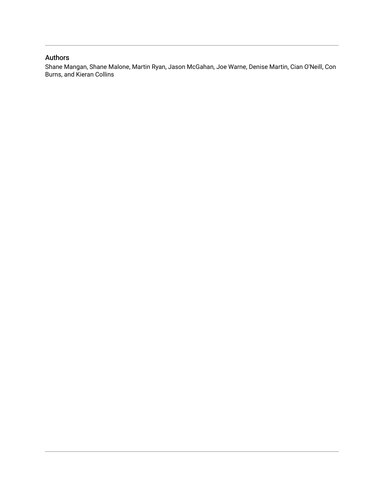### Authors

Shane Mangan, Shane Malone, Martin Ryan, Jason McGahan, Joe Warne, Denise Martin, Cian O'Neill, Con Burns, and Kieran Collins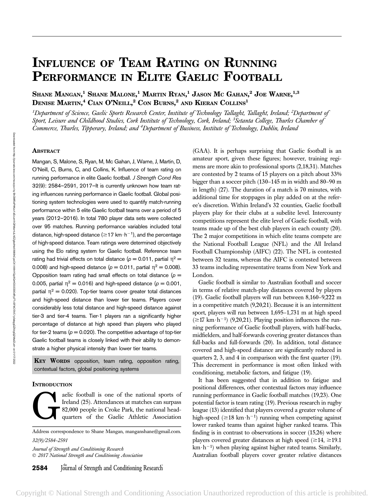# INFLUENCE OF TEAM RATING ON RUNNING PERFORMANCE IN ELITE GAELIC FOOTBALL

Shane Mangan, $^1$  Shane Malone, $^1$  Martin Ryan, $^1$  Jason Mc Gahan, $^2$  Joe Warne, $^{1,3}$ Denise Martin,<sup>4</sup> Cian O'Neill,<sup>2</sup> Con Burns,<sup>2</sup> and Kieran Collins<sup>1</sup>

 $^{\rm 1}$ Department of Science, Gaelic Sports Research Center, Institute of Technology Tallaght, Tallaght, Ireland;  $^{\rm 2}$ Department of Sport, Leisure and Childhood Studies, Cork Institute of Technology, Cork, Ireland; <sup>3</sup>Setanta College, Thurles Chamber of Commerce, Thurles, Tipperary, Ireland; and <sup>4</sup>Department of Business, Institute of Technology, Dublin, Ireland

### **ABSTRACT**

Mangan, S, Malone, S, Ryan, M, Mc Gahan, J, Warne, J, Martin, D, O'Neill, C, Burns, C, and Collins, K. Influence of team rating on running performance in elite Gaelic football. J Strength Cond Res 32(9): 2584–2591, 2017—It is currently unknown how team rating influences running performance in Gaelic football. Global positioning system technologies were used to quantify match-running performance within 5 elite Gaelic football teams over a period of 5 years (2012–2016). In total 780 player data sets were collected over 95 matches. Running performance variables included total distance, high-speed distance ( $\geq$ 17 km $\cdot$  h<sup>-1</sup>), and the percentage of high-speed distance. Team ratings were determined objectively using the Elo rating system for Gaelic football. Reference team rating had trivial effects on total distance ( $p = 0.011$ , partial  $\eta^2 =$ 0.008) and high-speed distance ( $p = 0.011$ , partial  $\eta^2 = 0.008$ ). Opposition team rating had small effects on total distance  $(p =$ 0.005, partial  $\eta^2 = 0.016$ ) and high-speed distance ( $p = 0.001$ , partial  $\eta^2$  = 0.020). Top-tier teams cover greater total distances and high-speed distance than lower tier teams. Players cover considerably less total distance and high-speed distance against tier-3 and tier-4 teams. Tier-1 players ran a significantly higher percentage of distance at high speed than players who played for tier-2 teams ( $p = 0.020$ ). The competitive advantage of top-tier Gaelic football teams is closely linked with their ability to demonstrate a higher physical intensity than lower tier teams.

 $\text{K}$  **WORDS** opposition, team rating, opposition rating, contextual factors, global positioning systems

#### **INTRODUCTION**

aelic football is one of the national sports of<br>Ireland (25). Attendances at matches can surpass<br>82,000 people in Croke Park, the national head-<br>quarters of the Gaelic Athletic Association Ireland (25). Attendances at matches can surpass 82,000 people in Croke Park, the national headquarters of the Gaelic Athletic Association

Address correspondence to Shane Mangan, manganshane@gmail.com. 32(9)/2584–2591

Journal of Strength and Conditioning Research 2017 National Strength and Conditioning Association

**2584** Journal of Strength and Conditioning Research

(GAA). It is perhaps surprising that Gaelic football is an amateur sport, given these figures; however, training regimens are more akin to professional sports (2,18,31). Matches are contested by 2 teams of 15 players on a pitch about 33% bigger than a soccer pitch (130–145 m in width and 80–90 m in length) (27). The duration of a match is 70 minutes, with additional time for stoppages in play added on at the referee's discretion. Within Ireland's 32 counties, Gaelic football players play for their clubs at a subelite level. Intercounty competitions represent the elite level of Gaelic football, with teams made up of the best club players in each county (20). The 2 major competitions in which elite teams compete are the National Football League (NFL) and the All Ireland Football Championship (AIFC) (22). The NFL is contested between 32 teams, whereas the AIFC is contested between 33 teams including representative teams from New York and London.

Gaelic football is similar to Australian football and soccer in terms of relative match-play distances covered by players (19). Gaelic football players will run between 8,160–9,222 m in a competitive match (9,20,21). Because it is an intermittent sport, players will run between 1,695–1,731 m at high speed  $(\geq 17$  km $\cdot h^{-1}$ ) (9,20,21). Playing position influences the running performance of Gaelic football players, with half-backs, midfielders, and half-forwards covering greater distances than full-backs and full-forwards (20). In addition, total distance covered and high-speed distance are significantly reduced in quarters 2, 3, and 4 in comparison with the first quarter (19). This decrement in performance is most often linked with conditioning, metabolic factors, and fatigue (19).

It has been suggested that in addition to fatigue and positional differences, other contextual factors may influence running performance in Gaelic football matches (19,23). One potential factor is team rating (19). Previous research in rugby league (13) identified that players covered a greater volume of high-speed ( $\geq$ 18 km $\cdot$ h<sup>-1</sup>) running when competing against lower ranked teams than against higher ranked teams. This finding is in contrast to observations in soccer (15,26) where players covered greater distances at high speed ( $\geq 14$ ,  $\geq 19.1$ )  $km \cdot h^{-1}$ ) when playing against higher rated teams. Similarly, Australian football players cover greater relative distances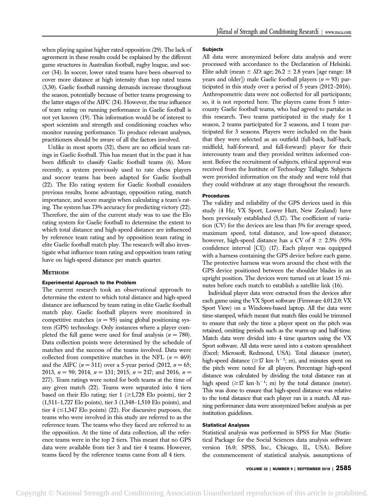when playing against higher rated opposition (29). The lack of agreement in these results could be explained by the different game structures in Australian football, rugby league, and soccer (34). In soccer, lower rated teams have been observed to cover more distance at high intensity than top rated teams (3,30). Gaelic football running demands increase throughout the season, potentially because of better teams progressing to the latter stages of the AIFC (24). However, the true influence of team rating on running performance in Gaelic football is not yet known (19). This information would be of interest to sport scientists and strength and conditioning coaches who monitor running performance. To produce relevant analyses, practitioners should be aware of all the factors involved.

Unlike in most sports (32), there are no official team ratings in Gaelic football. This has meant that in the past it has been difficult to classify Gaelic football teams (6). More recently, a system previously used to rate chess players and soccer teams has been adapted for Gaelic football (22). The Elo rating system for Gaelic football considers previous results, home advantage, opposition rating, match importance, and score margin when calculating a team's rating. The system has 73% accuracy for predicting victory (22). Therefore, the aim of the current study was to use the Elo rating system for Gaelic football to determine the extent to which total distance and high-speed distance are influenced by reference team rating and by opposition team rating in elite Gaelic football match play. The research will also investigate what influence team rating and opposition team rating have on high-speed distance per match quarter.

#### **METHODS**

#### Experimental Approach to the Problem

The current research took an observational approach to determine the extent to which total distance and high-speed distance are influenced by team rating in elite Gaelic football match play. Gaelic football players were monitored in competitive matches  $(n = 95)$  using global positioning system (GPS) technology. Only instances where a player completed the full game were used for final analysis ( $n = 780$ ). Data collection points were determined by the schedule of matches and the success of the teams involved. Data were collected from competitive matches in the NFL ( $n = 469$ ) and the AIFC  $(n = 311)$  over a 5-year period (2012,  $n = 65$ ; 2013,  $n = 90$ ; 2014,  $n = 131$ ; 2015,  $n = 217$ ; and 2016,  $n =$ 277). Team ratings were noted for both teams at the time of any given match (22). Teams were separated into 4 tiers based on their Elo rating; tier  $1 \geq 1,728$  Elo points), tier 2 (1,511–1,727 Elo points), tier 3 (1,348–1,510 Elo points), and tier 4  $(\leq 1,347$  Elo points) (22). For discursive purposes, the teams who were involved in this study are referred to as the reference team. The teams who they faced are referred to as the opposition. At the time of data collection, all the reference teams were in the top 2 tiers. This meant that no GPS data were available from tier 3 and tier 4 teams. However, teams faced by the reference teams came from all 4 tiers.

#### **Subjects**

All data were anonymized before data analysis and were processed with accordance to the Declaration of Helsinki. Elite adult (mean  $\pm$  *SD*: age; 26.2  $\pm$  2.8 years [age range: 18 years and older]) male Gaelic football players  $(n = 93)$  participated in this study over a period of 5 years (2012–2016). Anthropometric data were not collected for all participants; so, it is not reported here. The players came from 5 intercounty Gaelic football teams, who had agreed to partake in this research. Two teams participated in the study for 1 season, 2 teams participated for 2 seasons, and 1 team participated for 3 seasons. Players were included on the basis that they were selected as an outfield (full-back, half-back, midfield, half-forward, and full-forward) player for their intercounty team and they provided written informed consent. Before the recruitment of subjects, ethical approval was received from the Institute of Technology Tallaght. Subjects were provided information on the study and were told that they could withdraw at any stage throughout the research.

### Procedures

The validity and reliability of the GPS devices used in this study (4 Hz; VX Sport, Lower Hutt, New Zealand) have been previously established (5,17). The coefficient of variation (CV) for the devices are less than 5% for average speed, maximum speed, total distance, and low-speed distance; however, high-speed distance has a CV of  $8 \pm 2.5\%$  (95% confidence interval [CI]) (17). Each player was equipped with a harness containing the GPS device before each game. The protective harness was worn around the chest with the GPS device positioned between the shoulder blades in an upright position. The devices were turned on at least 15 minutes before each match to establish a satellite link (16).

Individual player data were extracted from the devices after each game using the VX Sport software (Firmware 4.01.2.0; VX Sport View) on a Windows-based laptop. All the data were time-stamped, which meant that match files could be trimmed to ensure that only the time a player spent on the pitch was retained, omitting periods such as the warm-up and half-time. Match data were divided into 4 time quarters using the VX Sport software. All data were saved into a custom spreadsheet (Excel; Microsoft, Redmond, USA). Total distance (meter), high-speed distance ( $\geq$ 17 km·h<sup>-1</sup>; m), and minutes spent on the pitch were noted for all players. Percentage high-speed distance was calculated by dividing the total distance ran at high speed ( $\geq$ 17 km $\cdot$ h<sup>-1</sup>; m) by the total distance (meter). This was done to ensure that high-speed distance was relative to the total distance that each player ran in a match. All running performance data were anonymized before analysis as per institution guidelines.

#### Statistical Analyses

Statistical analysis was performed in SPSS for Mac (Statistical Package for the Social Sciences data analysis software version 16.0; SPSS, Inc., Chicago, IL, USA). Before the commencement of statistical analysis, assumptions of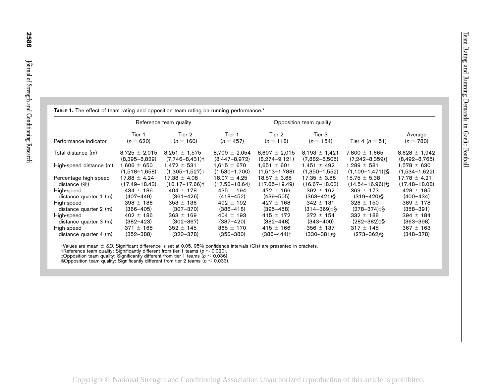| <b>TABLE 1.</b> The effect of team rating and opposition team rating on running performance.* |                        |                                |                         |                            |                              |                                   |                        |
|-----------------------------------------------------------------------------------------------|------------------------|--------------------------------|-------------------------|----------------------------|------------------------------|-----------------------------------|------------------------|
| Performance indicator                                                                         | Reference team quality |                                | Opposition team quality |                            |                              |                                   |                        |
|                                                                                               | Tier 1<br>$(n = 620)$  | Tier 2<br>$(n = 160)$          | Tier 1<br>$(n = 457)$   | Tier 2<br>$(n = 118)$      | Tier 3<br>$(n = 154)$        | Tier 4 $(n = 51)$                 | Average<br>$(n = 780)$ |
| Total distance (m)                                                                            | $8,725 \pm 2,015$      | $8,251 \pm 1,575$              | $8,709 \pm 2,054$       | $8,697 \pm 2,015$          | $8,193 \pm 1,421$            | $7,800 \pm 1,665$                 | $8,628 \pm 1,942$      |
|                                                                                               | $(8,395 - 8,829)$      | $(7,746 - 8,431)$ †            | $(8,447-8,972)$         | $(8,274-9,121)$            | $(7,882 - 8,505)$            | $(7,242 - 8,359)$                 | $(8,492 - 8,765)$      |
| High-speed distance (m)                                                                       | $1,606 \pm 650$        | $1,472 \pm 531$                | $1,615 \pm 670$         | $1,651 \pm 601$            | $1,451 \pm 492$              | $1,289 \pm 581$                   | $1,578 \pm 630$        |
|                                                                                               | $(1,518 - 1,658)$      | $(1,305 - 1,527)$              | $(1,530-1,700)$         | $(1,513 - 1,788)$          | $(1,350-1,552)$              | $(1,109 - 1,471)$ : §             | $(1,534-1,622)$        |
| Percentage high-speed                                                                         | $17.88 \pm 4.24$       | $17.38 \pm 4.08$               | $18.07 \pm 4.25$        | $18.57 \pm 3.68$           | $17.35 \pm 3.88$             | $15.75 \pm 5.38$                  | $17.78 \pm 4.21$       |
| distance (%)                                                                                  | $(17.49 - 18.43)$      | $(16.17 - 17.66)$ <sup>+</sup> | $(17.50 - 18.64)$       | $(17.65 - 19.49)$          | $(16.67 - 18.03)$            | $(14.54 - 16.96)$ <sup>1</sup> \; | $(17.48 - 18.08)$      |
| High-speed                                                                                    | $434 \pm 186$          | $404 \pm 178$                  | $435 \pm 194$           | $472 \pm 166$              | $392 \pm 162$                | $369 \pm 173$                     | $428 \pm 185$          |
| distance quarter $1$ (m)                                                                      | $(407 - 449)$          | $(361 - 426)$                  | $(418 - 452)$           | $(439 - 505)$              | $(363 - 421)$                | $(319 - 420)$                     | $(400 - 434)$          |
| High-speed                                                                                    | $398 \pm 186$          | $353 \pm 136$                  | $402 \pm 192$           | $427 \pm 168$              | $342 \pm 131$                | $326 \pm 150$                     | $389 \pm 178$          |
| distance quarter 2 (m)                                                                        | $(366 - 405)$          | $(307 - 370)$                  | $(386 - 418)$           | $(395 - 458)$              | $(314 - 369)$ <sup>t</sup> S | $(278 - 374)$ :                   | $(358 - 391)$          |
| High-speed                                                                                    | $402 \pm 186$          | $363 \pm 169$                  | $404 \pm 193$           | $415 \pm 172$              | $372 \pm 154$                | $332 \pm 188$                     | $394 \pm 184$          |
| distance quarter 3 (m)                                                                        | $(382 - 423)$          | $(302 - 367)$                  | $(387 - 420)$           | $(382 - 448)$              | $(343 - 400)$                | $(282 - 382)$ ts                  | $(363 - 398)$          |
| High-speed                                                                                    | $371 \pm 168$          | $352 \pm 145$                  | $365 \pm 170$           | $415 \pm 166$              | $356 \pm 137$                | $317 \pm 145$                     | $367 \pm 163$          |
| distance quarter 4 (m)                                                                        | $(352 - 388)$          | $(320 - 378)$                  | $(350 - 380)$           | $(386 - 444)$ <sup>†</sup> | $(330 - 381)$                | $(273 - 362)$ §                   | $(348 - 378)$          |

\*Values are mean ± *SD*. Significant difference is set at 0.05. 95% confidence intervals (Cls) are presented in brackets.<br>†Reference team quality: Significantly different from tier-1 teams (ρ ≤ 0.020).<br>‡Opposition team q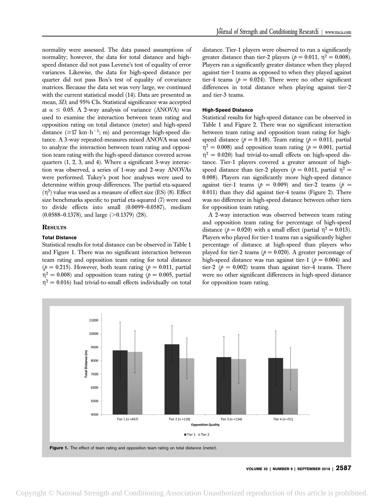normality were assessed. The data passed assumptions of normality; however, the data for total distance and highspeed distance did not pass Levene's test of equality of error variances. Likewise, the data for high-speed distance per quarter did not pass Box's test of equality of covariance matrices. Because the data set was very large, we continued with the current statistical model (14). Data are presented as mean, SD, and 95% CIs. Statistical significance was accepted at  $\alpha \leq 0.05$ . A 2-way analysis of variance (ANOVA) was used to examine the interaction between team rating and opposition rating on total distance (meter) and high-speed distance  $(\geq 17$  km $\cdot h^{-1}$ ; m) and percentage high-speed distance. A 3-way repeated-measures mixed ANOVA was used to analyze the interaction between team rating and opposition team rating with the high-speed distance covered across quarters (1, 2, 3, and 4). Where a significant 3-way interaction was observed, a series of 1-way and 2-way ANOVAs were performed. Tukey's post hoc analyses were used to determine within group differences. The partial eta-squared  $(\eta^2)$  value was used as a measure of effect size (ES) (8). Effect size benchmarks specific to partial eta-squared (7) were used to divide effects into small (0.0099–0.0587), medium  $(0.0588 - 0.1378)$ , and large  $(>0.1379)$  (28).

#### **RESULTS**

#### Total Distance

Statistical results for total distance can be observed in Table 1 and Figure 1. There was no significant interaction between team rating and opposition team rating for total distance ( $p = 0.215$ ). However, both team rating ( $p = 0.011$ , partial  $\eta^2 = 0.008$ ) and opposition team rating ( $p = 0.005$ , partial  $\eta^2 = 0.016$ ) had trivial-to-small effects individually on total distance. Tier-1 players were observed to run a significantly greater distance than tier-2 players ( $p = 0.011$ ,  $\eta^2 = 0.008$ ). Players ran a significantly greater distance when they played against tier-1 teams as opposed to when they played against tier-4 teams ( $p = 0.024$ ). There were no other significant differences in total distance when playing against tier-2 and tier-3 teams.

#### High-Speed Distance

Statistical results for high-speed distance can be observed in Table 1 and Figure 2. There was no significant interaction between team rating and opposition team rating for highspeed distance ( $p = 0.148$ ). Team rating ( $p = 0.011$ , partial  $n^2 = 0.008$ ) and opposition team rating ( $p = 0.001$ , partial  $\eta^2 = 0.020$ ) had trivial-to-small effects on high-speed distance. Tier-1 players covered a greater amount of highspeed distance than tier-2 players ( $p = 0.011$ , partial  $\eta^2 =$ 0.008). Players ran significantly more high-speed distance against tier-1 teams ( $p = 0.009$ ) and tier-2 teams ( $p =$ 0.011) than they did against tier-4 teams (Figure 2). There was no difference in high-speed distance between other tiers for opposition team rating.

A 2-way interaction was observed between team rating and opposition team rating for percentage of high-speed distance ( $p = 0.020$ ) with a small effect (partial  $\eta^2 = 0.013$ ). Players who played for tier-1 teams ran a significantly higher percentage of distance at high-speed than players who played for tier-2 teams ( $p = 0.020$ ). A greater percentage of high-speed distance was run against tier-1 ( $p = 0.004$ ) and tier-2 ( $p = 0.002$ ) teams than against tier-4 teams. There were no other significant differences in high-speed distance for opposition team rating.



VOLUME 32 | NUMBER 9 | SEPTEMBER 2018 | 2587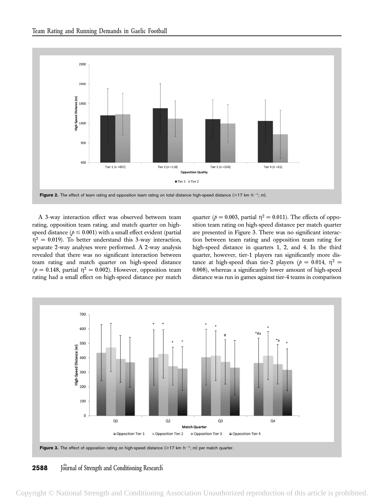

A 3-way interaction effect was observed between team rating, opposition team rating, and match quarter on highspeed distance ( $p \le 0.001$ ) with a small effect evident (partial  $\eta^2 = 0.019$ ). To better understand this 3-way interaction, separate 2-way analyses were performed. A 2-way analysis revealed that there was no significant interaction between team rating and match quarter on high-speed distance ( $p = 0.148$ , partial  $\eta^2 = 0.002$ ). However, opposition team rating had a small effect on high-speed distance per match quarter ( $p = 0.003$ , partial  $\eta^2 = 0.011$ ). The effects of opposition team rating on high-speed distance per match quarter are presented in Figure 3. There was no significant interaction between team rating and opposition team rating for high-speed distance in quarters 1, 2, and 4. In the third quarter, however, tier-1 players ran significantly more distance at high-speed than tier-2 players ( $p = 0.014$ ,  $p^2 =$ 0.008), whereas a significantly lower amount of high-speed distance was run in games against tier-4 teams in comparison



**2588** Journal of Strength and Conditioning Research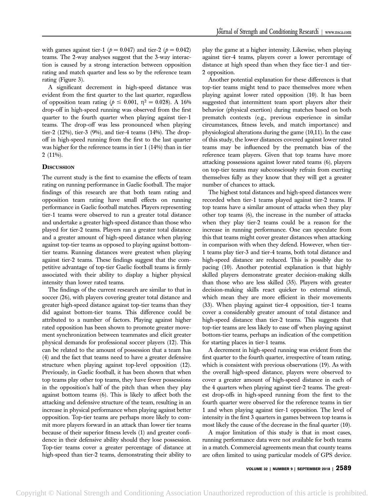with games against tier-1 ( $p = 0.047$ ) and tier-2 ( $p = 0.042$ ) teams. The 2-way analyses suggest that the 3-way interaction is caused by a strong interaction between opposition rating and match quarter and less so by the reference team rating (Figure 3).

A significant decrement in high-speed distance was evident from the first quarter to the last quarter, regardless of opposition team rating ( $p \le 0.001$ ,  $\eta^2 = 0.028$ ). A 16% drop-off in high-speed running was observed from the first quarter to the fourth quarter when playing against tier-1 teams. The drop-off was less pronounced when playing tier-2 (12%), tier-3 (9%), and tier-4 teams (14%). The dropoff in high-speed running from the first to the last quarter was higher for the reference teams in tier 1 (14%) than in tier 2 (11%).

#### **DISCUSSION**

The current study is the first to examine the effects of team rating on running performance in Gaelic football. The major findings of this research are that both team rating and opposition team rating have small effects on running performance in Gaelic football matches. Players representing tier-1 teams were observed to run a greater total distance and undertake a greater high-speed distance than those who played for tier-2 teams. Players ran a greater total distance and a greater amount of high-speed distance when playing against top-tier teams as opposed to playing against bottomtier teams. Running distances were greatest when playing against tier-2 teams. These findings suggest that the competitive advantage of top-tier Gaelic football teams is firmly associated with their ability to display a higher physical intensity than lower rated teams.

The findings of the current research are similar to that in soccer (26), with players covering greater total distance and greater high-speed distance against top-tier teams than they did against bottom-tier teams. This difference could be attributed to a number of factors. Playing against higher rated opposition has been shown to promote greater movement synchronization between teammates and elicit greater physical demands for professional soccer players (12). This can be related to the amount of possession that a team has (4) and the fact that teams need to have a greater defensive structure when playing against top-level opposition (12). Previously, in Gaelic football, it has been shown that when top teams play other top teams, they have fewer possessions in the opposition's half of the pitch than when they play against bottom teams (6). This is likely to affect both the attacking and defensive structure of the team, resulting in an increase in physical performance when playing against better opposition. Top-tier teams are perhaps more likely to commit more players forward in an attack than lower tier teams because of their superior fitness levels (1) and greater confidence in their defensive ability should they lose possession. Top-tier teams cover a greater percentage of distance at high-speed than tier-2 teams, demonstrating their ability to play the game at a higher intensity. Likewise, when playing against tier-4 teams, players cover a lower percentage of distance at high speed than when they face tier-1 and tier-2 opposition.

Another potential explanation for these differences is that top-tier teams might tend to pace themselves more when playing against lower rated opposition (10). It has been suggested that intermittent team sport players alter their behavior (physical exertion) during matches based on both prematch contexts (e.g., previous experience in similar circumstances, fitness levels, and match importance) and physiological alterations during the game (10,11). In the case of this study, the lower distances covered against lower rated teams may be influenced by the prematch bias of the reference team players. Given that top teams have more attacking possessions against lower rated teams (6), players on top-tier teams may subconsciously refrain from exerting themselves fully as they know that they will get a greater number of chances to attack.

The highest total distances and high-speed distances were recorded when tier-1 teams played against tier-2 teams. If top teams have a similar amount of attacks when they play other top teams (6), the increase in the number of attacks when they play tier-2 teams could be a reason for the increase in running performance. One can speculate from this that teams might cover greater distances when attacking in comparison with when they defend. However, when tier-1 teams play tier-3 and tier-4 teams, both total distance and high-speed distance are reduced. This is possibly due to pacing (10). Another potential explanation is that highly skilled players demonstrate greater decision-making skills than those who are less skilled (35). Players with greater decision-making skills react quicker to external stimuli, which mean they are more efficient in their movements (33). When playing against tier-4 opposition, tier-1 teams cover a considerably greater amount of total distance and high-speed distance than tier-2 teams. This suggests that top-tier teams are less likely to ease off when playing against bottom-tier teams, perhaps an indication of the competition for starting places in tier-1 teams.

A decrement in high-speed running was evident from the first quarter to the fourth quarter, irrespective of team rating, which is consistent with previous observations (19). As with the overall high-speed distance, players were observed to cover a greater amount of high-speed distance in each of the 4 quarters when playing against tier-2 teams. The greatest drop-offs in high-speed running from the first to the fourth quarter were observed for the reference teams in tier 1 and when playing against tier-1 opposition. The level of intensity in the first 3 quarters in games between top teams is most likely the cause of the decrease in the final quarter (10).

A major limitation of this study is that in most cases, running performance data were not available for both teams in a match. Commercial agreements mean that county teams are often limited to using particular models of GPS device.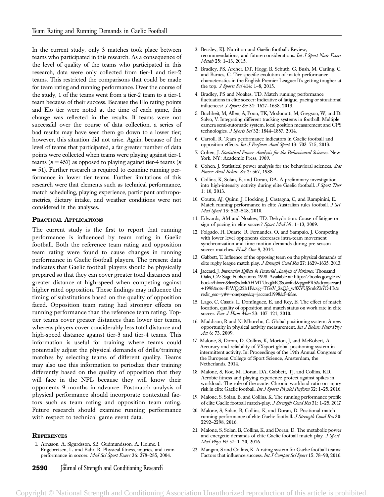In the current study, only 3 matches took place between teams who participated in this research. As a consequence of the level of quality of the teams who participated in this research, data were only collected from tier-1 and tier-2 teams. This restricted the comparisons that could be made for team rating and running performance. Over the course of the study, 1 of the teams went from a tier-2 team to a tier-1 team because of their success. Because the Elo rating points and Elo tier were noted at the time of each game, this change was reflected in the results. If teams were not successful over the course of data collection, a series of bad results may have seen them go down to a lower tier; however, this situation did not arise. Again, because of the level of teams that participated, a far greater number of data points were collected when teams were playing against tier-1 teams ( $n = 457$ ) as opposed to playing against tier-4 teams ( $n$ ) = 51). Further research is required to examine running performance in lower tier teams. Further limitations of this research were that elements such as technical performance, match scheduling, playing experience, participant anthropometrics, dietary intake, and weather conditions were not considered in the analyses.

#### PRACTICAL APPLICATIONS

The current study is the first to report that running performance is influenced by team rating in Gaelic football. Both the reference team rating and opposition team rating were found to cause changes in running performance in Gaelic football players. The present data indicates that Gaelic football players should be physically prepared so that they can cover greater total distances and greater distance at high-speed when competing against higher rated opposition. These findings may influence the timing of substitutions based on the quality of opposition faced. Opposition team rating had stronger effects on running performance than the reference team rating. Toptier teams cover greater distances than lower tier teams, whereas players cover considerably less total distance and high-speed distance against tier-3 and tier-4 teams. This information is useful for training where teams could potentially adjust the physical demands of drills/training matches by selecting teams of different quality. Teams may also use this information to periodize their training differently based on the quality of opposition that they will face in the NFL because they will know their opponents 9 months in advance. Postmatch analysis of physical performance should incorporate contextual factors such as team rating and opposition team rating. Future research should examine running performance with respect to technical game event data.

#### **REFERENCES**

- 1. Arnason, A, Sigurdsson, SB, Gudmundsson, A, Holme, I, Engebretsen, L, and Bahr, R. Physical fitness, injuries, and team performance in soccer. Med Sci Sport Exerc 36: 278-285, 2004.
- **2590** Journal of Strength and Conditioning Research
- 2. Beasley, KJ. Nutrition and Gaelic football: Review, recommendations, and future considerations. Int J Sport Nutr Exerc Metab 25: 1–13, 2015.
- 3. Bradley, PS, Archer, DT, Hogg, B, Schuth, G, Bush, M, Carling, C, and Barnes, C. Tier-specific evolution of match performance characteristics in the English Premier League: It's getting tougher at the top. *J Sports Sci* 414: 1-8, 2015.
- 4. Bradley, PS and Noakes, TD. Match running performance fluctuations in elite soccer: Indicative of fatigue, pacing or situational influences? J Sports Sci 31: 1627-1638, 2013.
- 5. Buchheit, M, Allen, A, Poon, TK, Modonutti, M, Gregson, W, and Di Salvo, V. Integrating different tracking systems in football: Multiple camera semi-automatic system, local position measurement and GPS technologies. J Sports Sci 32: 1844-1857, 2014.
- 6. Carroll, R. Team performance indicators in Gaelic football and opposition effects. Int J Perform Anal Sport 13: 703–715, 2013.
- 7. Cohen, J. Statistical Power Analysis for the Behavioural Sciences. New York, NY: Academic Press, 1969.
- 8. Cohen, J. Statistical power analysis for the behavioral sciences. Stat Power Anal Behav Sci 2: 567, 1988.
- 9. Collins, K, Solan, B, and Doran, DA. A preliminary investigation into high-intensity activity during elite Gaelic football. J Sport Ther 1: 10, 2013.
- 10. Coutts, AJ, Quinn, J, Hocking, J, Castagna, C, and Rampinini, E. Match running performance in elite Australian rules football. J Sci Med Sport 13: 543–548, 2010.
- 11. Edwards, AM and Noakes, TD. Dehydration: Cause of fatigue or sign of pacing in elite soccer? Sport Med 39: 1-13, 2009.
- 12. Folgado, H, Duarte, R, Fernandes, O, and Sampaio, J. Competing with lower level opponents decreases intra-team movement synchronization and time-motion demands during pre-season soccer matches. PLoS One 9, 2014.
- 13. Gabbett, T. Influence of the opposing team on the physical demands of elite rugby league match play. J Strength Cond Res 27: 1629–1635, 2013.
- 14. Jaccard, J. Interaction Effects in Factorial Analysis of Variance. Thousand Oaks, CA: Sage Publications, 1998. Available at: https://books.google.ie/ books?hl=en&lr=&id=liAHMTUoqjMC&oi=fnd&pg=PR5&dq=jaccard +1998&ots=FrWQt22h1F&sig=TGzV\_2zQ3\_w8XVUjSmkZlr7O-Hs& redir\_esc=y#v=onepage&q=jaccard1998&f=false.
- 15. Lago, C, Casais, L, Domínguez, E, and Rey, E. The effect of match location, quality of opposition and match status on work rate in elite soccer. Eur J Hum Mov 23: 107-121, 2010.
- 16. Maddison, R and Ni Mhurchu, C. Global positioning system: A new opportunity in physical activity measurement. Int J Behav Nutr Phys Act 6: 73, 2009.
- 17. Malone, S, Doran, D, Collins, K, Morton, J, and McRobert, A. Accuracy and reliability of VXsport global positioning system in intermittent activity. In: Proceedings of the 19th Annual Congress of the European College of Sport Science, Amsterdam, the Netherlands, 2014.
- 18. Malone, S, Roe, M, Doran, DA, Gabbett, TJ, and Collins, KD. Aerobic fitness and playing experience protect against spikes in workload: The role of the acute: Chronic workload ratio on injury risk in elite Gaelic football. Int J Sports Physiol Perform 32: 1–25, 2016.
- 19. Malone, S, Solan, B, and Collins, K. The running performance profile of elite Gaelic football match-play. J Strength Cond Res 31: 1–25, 2017.
- 20. Malone, S, Solan, B, Collins, K, and Doran, D. Positional match running performance of elite Gaelic football. J Strength Cond Res 30: 2292–2298, 2016.
- 21. Malone, S, Solan, B, Collins, K, and Doran, D. The metabolic power and energetic demands of elite Gaelic football match play. J Sport Med Phys Fit 57: 1–20, 2016.
- 22. Mangan, S and Collins, K. A rating system for Gaelic football teams: Factors that influence success. Int J Comput Sci Sport 15: 78-90, 2016.